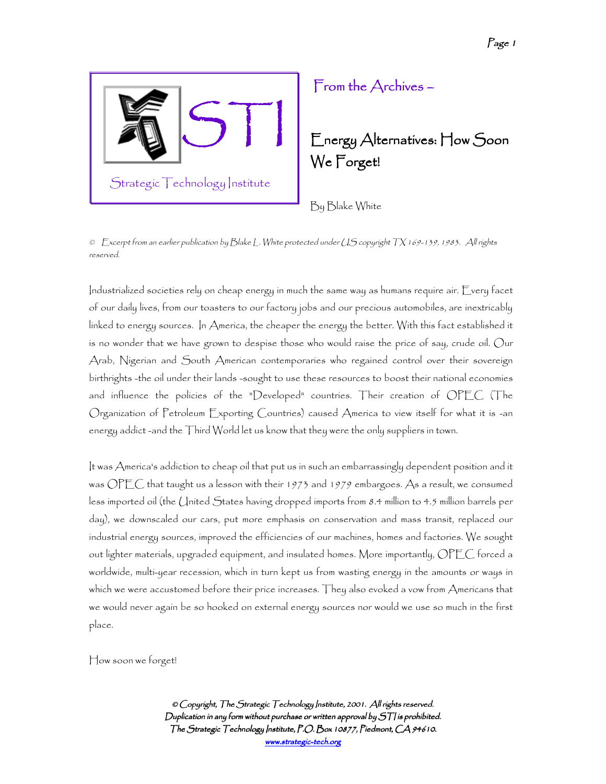

## From the Archives – –

Energy Alternatives: How Soon We Forget!

By Blake White

© Excerpt from an earlier publication by Blake L. White protected under US copyright TX 169-139, 1983. All rights reserved.

Industrialized societies rely on cheap energy in much the same way as humans require air. Every facet of our daily lives, from our toasters to our factory jobs and our precious automobiles, are inextricably linked to energy sources. In America, the cheaper the energy the better. With this fact established it is no wonder that we have grown to despise those who would raise the price of say, crude oil. Our Arab, Nigerian and South American contemporaries who regained control over their sovereign birthrights -the oil under their lands -sought to use these resources to boost their national economies and influence the policies of the "Developed" countries. Their creation of OPEC (The Organization of Petroleum Exporting Countries) caused America to view itself for what it is -an energy addict -and the Third World let us know that they were the only suppliers in town.

It was America's addiction to cheap oil that put us in such an embarrassingly dependent position and it was OPEC that taught us a lesson with their 1973 and 1979 embargoes. As a result, we consumed less imported oil (the United States having dropped imports from 8.4 million to 4.5 million barrels per day), we downscaled our cars, put more emphasis on conservation and mass transit, replaced our industrial energy sources, improved the efficiencies of our machines, homes and factories. We sought out lighter materials, upgraded equipment, and insulated homes. More importantly, OPEC forced a worldwide, multi-year recession, which in turn kept us from wasting energy in the amounts or ways in which we were accustomed before their price increases. They also evoked a vow from Americans that we would never again be so hooked on external energy sources nor would we use so much in the first place.

How soon we forget!

© Copyright, The Strategic Technology Institute, 2001. All rights reserved. Duplication in any form without purchase or written approval by  $S\mathcal{T}$  is prohibited. The Strategic Technology Institute, P.O. Box 10877, Piedmont, CA 94610. www.strategic-tech.org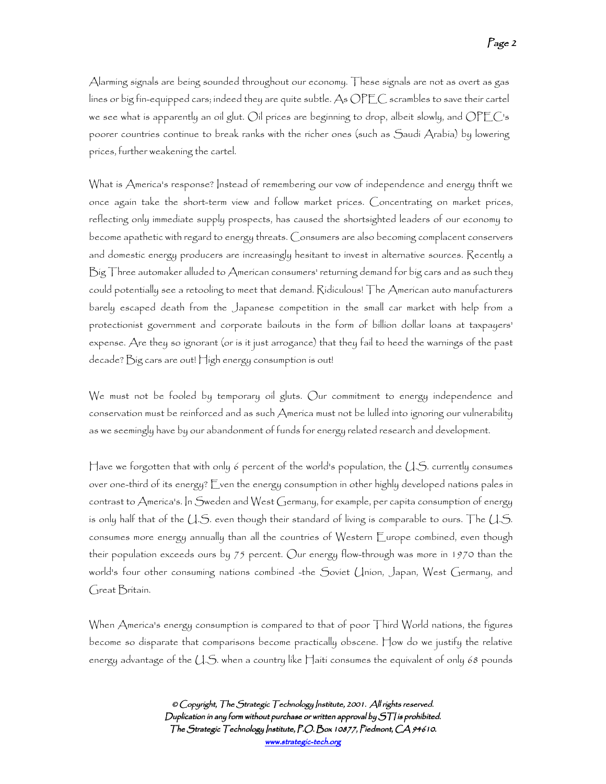Alarming signals are being sounded throughout our economy. These signals are not as overt as gas lines or big fin-equipped cars; indeed they are quite subtle. As OPEC scrambles to save their cartel we see what is apparently an oil glut. Oil prices are beginning to drop, albeit slowly, and OPEC's poorer countries continue to break ranks with the richer ones (such as Saudi Arabia) by lowering prices, further weakening the cartel.

What is America's response? Instead of remembering our vow of independence and energy thrift we once again take the short-term view and follow market prices. Concentrating on market prices, reflecting only immediate supply prospects, has caused the shortsighted leaders of our economy to become apathetic with regard to energy threats. Consumers are also becoming complacent conservers and domestic energy producers are increasingly hesitant to invest in alternative sources. Recently a Big Three automaker alluded to American consumers' returning demand for big cars and as such they could potentially see a retooling to meet that demand. Ridiculous! The American auto manufacturers barely escaped death from the Japanese competition in the small car market with help from a protectionist government and corporate bailouts in the form of billion dollar loans at taxpayers' expense. Are they so ignorant (or is it just arrogance) that they fail to heed the warnings of the past decade? Big cars are out! High energy consumption is out!

We must not be fooled by temporary oil gluts. Our commitment to energy independence and conservation must be reinforced and as such America must not be lulled into ignoring our vulnerability as we seemingly have by our abandonment of funds for energy related research and development.

Have we forgotten that with only 6 percent of the world's population, the  $\cup$  S. currently consumes over one-third of its energy? Even the energy consumption in other highly developed nations pales in contrast to America's. In Sweden and West Germany, for example, per capita consumption of energy is only half that of the U.S. even though their standard of living is comparable to ours. The U.S. consumes more energy annually than all the countries of Western Europe combined, even though their population exceeds ours by 75 percent. Our energy flow-through was more in 1970 than the world's four other consuming nations combined -the Soviet Union, Japan, West Germany, and Great Britain.

When America's energy consumption is compared to that of poor Third World nations, the figures become so disparate that comparisons become practically obscene. How do we justify the relative energy advantage of the  $\cup$ . S. when a country like Haiti consumes the equivalent of only 68 pounds

> © Copyright, The Strategic Technology Institute, 2001. All rights reserved. Duplication in any form without purchase or written approval by  $S\mathcal{T}$  is prohibited. The Strategic Technology Institute, P.O. Box 10877, Piedmont, CA 94610. www.strategic-tech.org